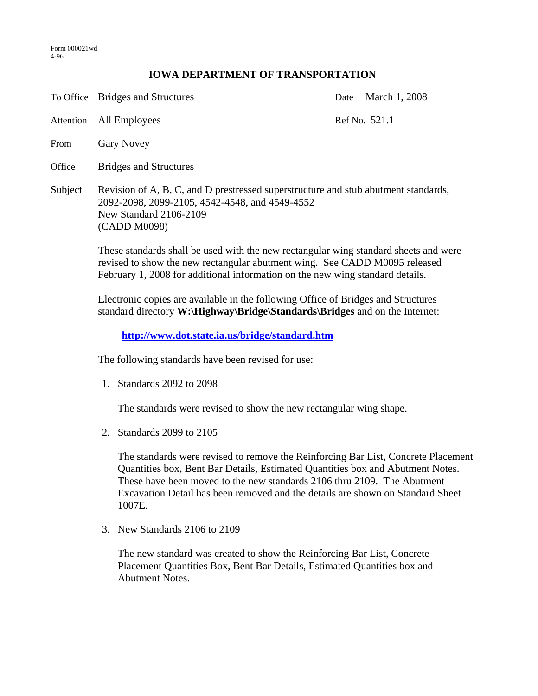## **IOWA DEPARTMENT OF TRANSPORTATION**

To Office Bridges and Structures Date March 1, 2008 Attention All Employees Ref No. 521.1 From Gary Novey Office Bridges and Structures Subject Revision of A, B, C, and D prestressed superstructure and stub abutment standards, 2092-2098, 2099-2105, 4542-4548, and 4549-4552 New Standard 2106-2109 (CADD M0098)

> These standards shall be used with the new rectangular wing standard sheets and were revised to show the new rectangular abutment wing. See CADD M0095 released February 1, 2008 for additional information on the new wing standard details.

Electronic copies are available in the following Office of Bridges and Structures standard directory **W:\Highway\Bridge\Standards\Bridges** and on the Internet:

**http://www.dot.state.ia.us/bridge/standard.htm**

The following standards have been revised for use:

1. Standards 2092 to 2098

The standards were revised to show the new rectangular wing shape.

2. Standards 2099 to 2105

The standards were revised to remove the Reinforcing Bar List, Concrete Placement Quantities box, Bent Bar Details, Estimated Quantities box and Abutment Notes. These have been moved to the new standards 2106 thru 2109. The Abutment Excavation Detail has been removed and the details are shown on Standard Sheet 1007E.

3. New Standards 2106 to 2109

The new standard was created to show the Reinforcing Bar List, Concrete Placement Quantities Box, Bent Bar Details, Estimated Quantities box and Abutment Notes.